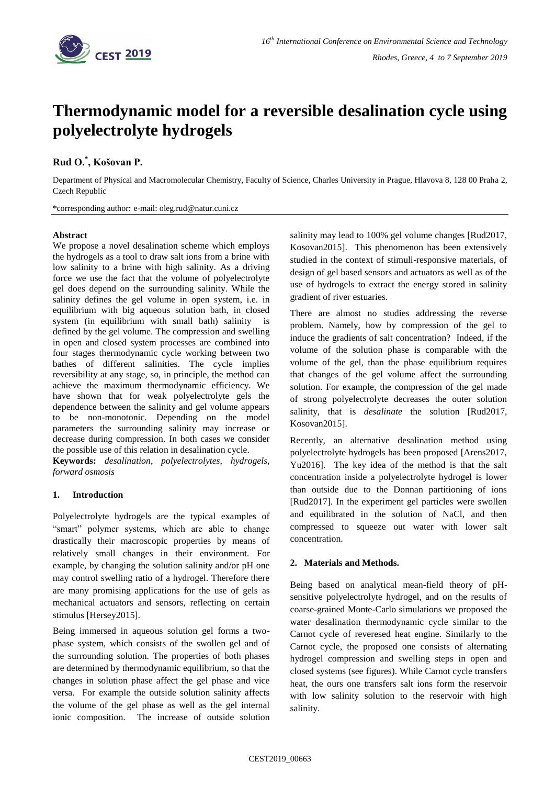

# **Thermodynamic model for a reversible desalination cycle using polyelectrolyte hydrogels**

## **Rud O.\* , Košovan P.**

Department of Physical and Macromolecular Chemistry, Faculty of Science, Charles University in Prague, Hlavova 8, 128 00 Praha 2, Czech Republic

\*corresponding author: e-mail: oleg.rud@natur.cuni.cz

### **Abstract**

We propose a novel desalination scheme which employs the hydrogels as a tool to draw salt ions from a brine with low salinity to a brine with high salinity. As a driving force we use the fact that the volume of polyelectrolyte gel does depend on the surrounding salinity. While the salinity defines the gel volume in open system, i.e. in equilibrium with big aqueous solution bath, in closed system (in equilibrium with small bath) salinity is defined by the gel volume. The compression and swelling in open and closed system processes are combined into four stages thermodynamic cycle working between two bathes of different salinities. The cycle implies reversibility at any stage, so, in principle, the method can achieve the maximum thermodynamic efficiency. We have shown that for weak polyelectrolyte gels the dependence between the salinity and gel volume appears to be non-monotonic. Depending on the model parameters the surrounding salinity may increase or decrease during compression. In both cases we consider the possible use of this relation in desalination cycle.

**Keywords:** *desalination, polyelectrolytes, hydrogels, forward osmosis*

### **1. Introduction**

Polyelectrolyte hydrogels are the typical examples of "smart" polymer systems, which are able to change drastically their macroscopic properties by means of relatively small changes in their environment. For example, by changing the solution salinity and/or pH one may control swelling ratio of a hydrogel. Therefore there are many promising applications for the use of gels as mechanical actuators and sensors, reflecting on certain stimulus [Hersey2015].

Being immersed in aqueous solution gel forms a twophase system, which consists of the swollen gel and of the surrounding solution. The properties of both phases are determined by thermodynamic equilibrium, so that the changes in solution phase affect the gel phase and vice versa. For example the outside solution salinity affects the volume of the gel phase as well as the gel internal ionic composition. The increase of outside solution salinity may lead to 100% gel volume changes [Rud2017, Kosovan2015]. This phenomenon has been extensively studied in the context of stimuli-responsive materials, of design of gel based sensors and actuators as well as of the use of hydrogels to extract the energy stored in salinity gradient of river estuaries.

There are almost no studies addressing the reverse problem. Namely, how by compression of the gel to induce the gradients of salt concentration? Indeed, if the volume of the solution phase is comparable with the volume of the gel, than the phase equilibrium requires that changes of the gel volume affect the surrounding solution. For example, the compression of the gel made of strong polyelectrolyte decreases the outer solution salinity, that is *desalinate* the solution [Rud2017, Kosovan2015].

Recently, an alternative desalination method using polyelectrolyte hydrogels has been proposed [Arens2017, Yu2016]. The key idea of the method is that the salt concentration inside a polyelectrolyte hydrogel is lower than outside due to the Donnan partitioning of ions [Rud2017]. In the experiment gel particles were swollen and equilibrated in the solution of NaCl, and then compressed to squeeze out water with lower salt concentration.

### **2. Materials and Methods.**

Being based on analytical mean-field theory of pHsensitive polyelectrolyte hydrogel, and on the results of coarse-grained Monte-Carlo simulations we proposed the water desalination thermodynamic cycle similar to the Carnot cycle of reveresed heat engine. Similarly to the Carnot cycle, the proposed one consists of alternating hydrogel compression and swelling steps in open and closed systems (see figures). While Carnot cycle transfers heat, the ours one transfers salt ions form the reservoir with low salinity solution to the reservoir with high salinity.